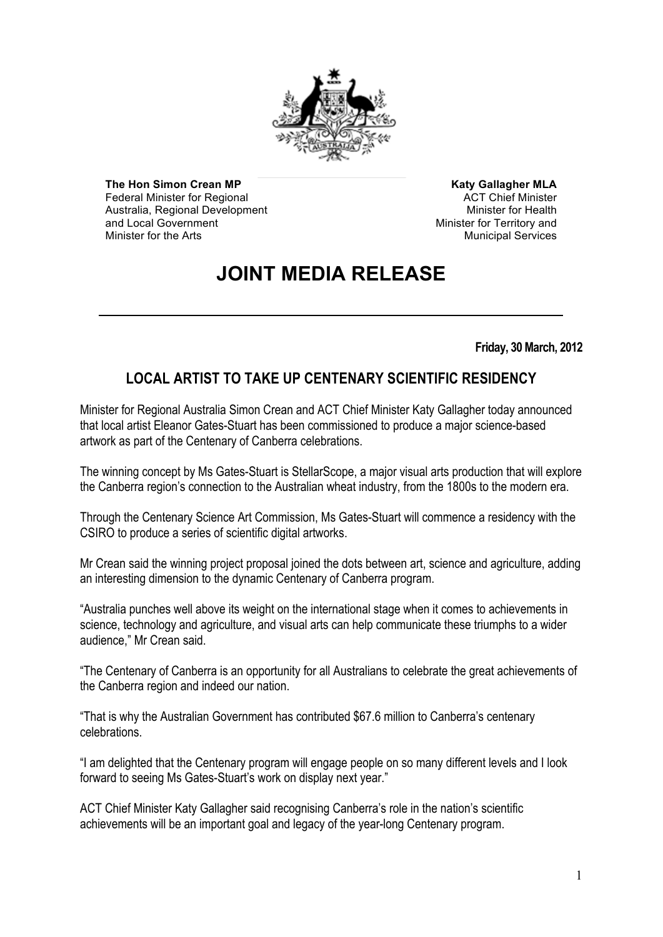

**The Hon Simon Crean MP** Federal Minister for Regional Australia, Regional Development and Local Government Minister for the Arts

**Katy Gallagher MLA** ACT Chief Minister Minister for Health Minister for Territory and Municipal Services

## **JOINT MEDIA RELEASE**

**Friday, 30 March, 2012**

## **LOCAL ARTIST TO TAKE UP CENTENARY SCIENTIFIC RESIDENCY**

Minister for Regional Australia Simon Crean and ACT Chief Minister Katy Gallagher today announced that local artist Eleanor Gates-Stuart has been commissioned to produce a major science-based artwork as part of the Centenary of Canberra celebrations.

The winning concept by Ms Gates-Stuart is StellarScope, a major visual arts production that will explore the Canberra region's connection to the Australian wheat industry, from the 1800s to the modern era.

Through the Centenary Science Art Commission, Ms Gates-Stuart will commence a residency with the CSIRO to produce a series of scientific digital artworks.

Mr Crean said the winning project proposal joined the dots between art, science and agriculture, adding an interesting dimension to the dynamic Centenary of Canberra program.

"Australia punches well above its weight on the international stage when it comes to achievements in science, technology and agriculture, and visual arts can help communicate these triumphs to a wider audience," Mr Crean said.

"The Centenary of Canberra is an opportunity for all Australians to celebrate the great achievements of the Canberra region and indeed our nation.

"That is why the Australian Government has contributed \$67.6 million to Canberra's centenary celebrations.

"I am delighted that the Centenary program will engage people on so many different levels and I look forward to seeing Ms Gates-Stuart's work on display next year."

ACT Chief Minister Katy Gallagher said recognising Canberra's role in the nation's scientific achievements will be an important goal and legacy of the year-long Centenary program.